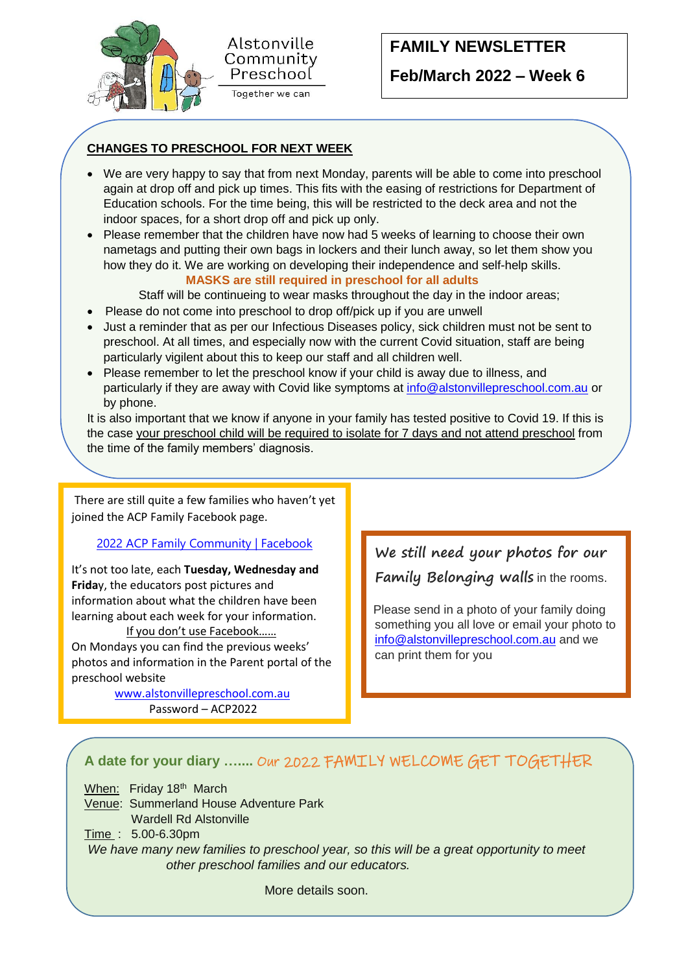



# **FAMILY NEWSLETTER Feb/March 2022 – Week 6**

### **CHANGES TO PRESCHOOL FOR NEXT WEEK**

- We are very happy to say that from next Monday, parents will be able to come into preschool again at drop off and pick up times. This fits with the easing of restrictions for Department of Education schools. For the time being, this will be restricted to the deck area and not the indoor spaces, for a short drop off and pick up only.
- Please remember that the children have now had 5 weeks of learning to choose their own nametags and putting their own bags in lockers and their lunch away, so let them show you how they do it. We are working on developing their independence and self-help skills. **MASKS are still required in preschool for all adults**

Staff will be continueing to wear masks throughout the day in the indoor areas;

- Please do not come into preschool to drop off/pick up if you are unwell
- Just a reminder that as per our Infectious Diseases policy, sick children must not be sent to preschool. At all times, and especially now with the current Covid situation, staff are being particularly vigilent about this to keep our staff and all children well.
- Please remember to let the preschool know if your child is away due to illness, and particularly if they are away with Covid like symptoms at [info@alstonvillepreschool.com.au](mailto:info@alstonvillepreschool.com.au) or by phone.

It is also important that we know if anyone in your family has tested positive to Covid 19. If this is the case your preschool child will be required to isolate for 7 days and not attend preschool from the time of the family members' diagnosis.

There are still quite a few families who haven't yet joined the ACP Family Facebook page.

#### [2022 ACP Family Community | Facebook](https://www.facebook.com/groups/647412776391570)

It's not too late, each **Tuesday, Wednesday and Frida**y, the educators post pictures and information about what the children have been learning about each week for your information.

 If you don't use Facebook…… On Mondays you can find the previous weeks' photos and information in the Parent portal of the preschool website

> [www.alstonvillepreschool.com.au](http://www.alstonvillepreschool.com.au/) Password – ACP2022

I **We still need your photos for our Family Belonging walls** in the rooms.

 Please send in a photo of your family doing something you all love or email your photo to [info@alstonvillepreschool.com.au](mailto:info@alstonvillepreschool.com.au) and we can print them for you

### **A date for your diary …....** Our 2022 FAMILY WELCOME GET TOGETHER

When: Friday  $18<sup>th</sup>$  March

Venue: Summerland House Adventure Park Wardell Rd Alstonville

Time : 5.00-6.30pm

*We have many new families to preschool year, so this will be a great opportunity to meet other preschool families and our educators.* 

More details soon.